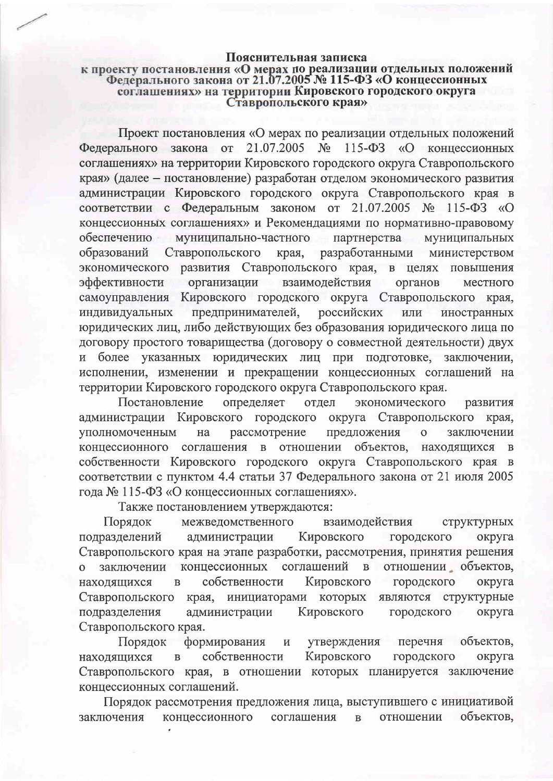## Пояснительная записка

## к проекту постановления «О мерах по реализации отдельных положений Федерального закона от 21.07.2005 № 115-ФЗ «О концессионных соглашениях» на территории Кировского городского округа<br>Ставропольского края»

Проект постановления «О мерах по реализации отдельных положений Федерального закона от 21.07.2005  $N<sub>o</sub>$  $115 - \Phi$ 3  $\sqrt{\omega}$ коннессионных соглашениях» на территории Кировского городского округа Ставропольского края» (далее - постановление) разработан отделом экономического развития администрации Кировского городского округа Ставропольского края в соответствии с Федеральным законом от 21.07.2005 № 115-ФЗ «О концессионных соглашениях» и Рекомендациями по нормативно-правовому обеспечению муниципально-частного партнерства муниципальных разработанными Ставропольского образований края, министерством экономического развития Ставропольского края, в целях повышения эффективности организации взаимодействия органов местного самоуправления Кировского городского округа Ставропольского края, предпринимателей, российских индивидуальных или иностранных юридических лиц, либо действующих без образования юридического лица по договору простого товарищества (договору о совместной деятельности) двух более указанных юридических лиц при подготовке,  $\overline{M}$ заключении. исполнении, изменении и прекращении концессионных соглашений на территории Кировского городского округа Ставропольского края.

Постановление определяет экономического отдел развития администрации Кировского городского округа Ставропольского края, рассмотрение предложения уполномоченным на  $\overline{O}$ заключении концессионного соглашения в отношении объектов, находящихся  $\bf{B}$ собственности Кировского городского округа Ставропольского края в соответствии с пунктом 4.4 статьи 37 Федерального закона от 21 июля 2005 года № 115-ФЗ «О концессионных соглашениях».

Также постановлением утверждаются:

Порядок межведомственного взаимодействия структурных подразделений Кировского администрации городского округа Ставропольского края на этапе разработки, рассмотрения, принятия решения отношении объектов, концессионных соглашений заключении  $\overline{B}$  $\Omega$ собственности Кировского находящихся  $\overline{B}$ городского округа являются структурные Ставропольского инициаторами которых края, подразделения администрации Кировского городского округа Ставропольского края.

Порядок объектов, формирования утверждения перечня И собственности Кировского городского находящихся  $\overline{B}$ округа Ставропольского края, в отношении которых планируется заключение концессионных соглашений.

Порядок рассмотрения предложения лица, выступившего с инициативой концессионного соглашения отношении объектов. заключения  $\overline{B}$